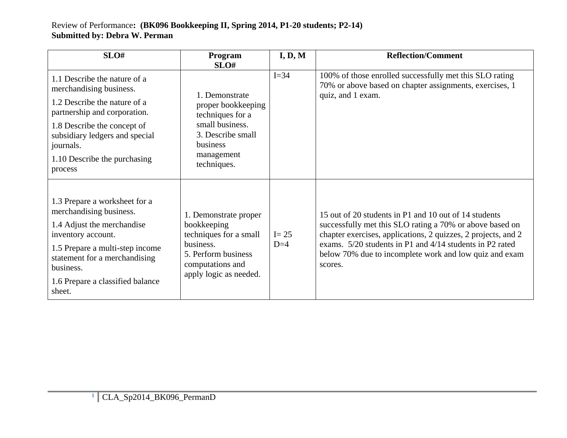## Review of Performance**: (BK096 Bookkeeping II, Spring 2014, P1-20 students; P2-14) Submitted by: Debra W. Perman**

| SLO#                                                                                                                                                                                                                                             | Program<br>SLO#                                                                                                                                  | I, D, M           | <b>Reflection/Comment</b>                                                                                                                                                                                                                                                                                           |
|--------------------------------------------------------------------------------------------------------------------------------------------------------------------------------------------------------------------------------------------------|--------------------------------------------------------------------------------------------------------------------------------------------------|-------------------|---------------------------------------------------------------------------------------------------------------------------------------------------------------------------------------------------------------------------------------------------------------------------------------------------------------------|
| 1.1 Describe the nature of a<br>merchandising business.<br>1.2 Describe the nature of a<br>partnership and corporation.<br>1.8 Describe the concept of<br>subsidiary ledgers and special<br>journals.<br>1.10 Describe the purchasing<br>process | 1. Demonstrate<br>proper bookkeeping<br>techniques for a<br>small business.<br>3. Describe small<br>business<br>management<br>techniques.        | $I = 34$          | 100% of those enrolled successfully met this SLO rating<br>70% or above based on chapter assignments, exercises, 1<br>quiz, and 1 exam.                                                                                                                                                                             |
| 1.3 Prepare a worksheet for a<br>merchandising business.<br>1.4 Adjust the merchandise<br>inventory account.<br>1.5 Prepare a multi-step income<br>statement for a merchandising<br>business.<br>1.6 Prepare a classified balance<br>sheet.      | 1. Demonstrate proper<br>bookkeeping<br>techniques for a small<br>business.<br>5. Perform business<br>computations and<br>apply logic as needed. | $I = 25$<br>$D=4$ | 15 out of 20 students in P1 and 10 out of 14 students<br>successfully met this SLO rating a 70% or above based on<br>chapter exercises, applications, 2 quizzes, 2 projects, and 2<br>exams. 5/20 students in P1 and 4/14 students in P2 rated<br>below 70% due to incomplete work and low quiz and exam<br>scores. |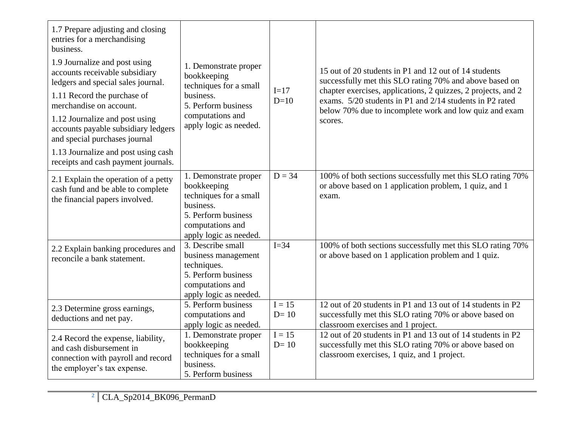| 1.7 Prepare adjusting and closing<br>entries for a merchandising<br>business.<br>1.9 Journalize and post using<br>accounts receivable subsidiary<br>ledgers and special sales journal.<br>1.11 Record the purchase of<br>merchandise on account.<br>1.12 Journalize and post using<br>accounts payable subsidiary ledgers<br>and special purchases journal<br>1.13 Journalize and post using cash<br>receipts and cash payment journals. | 1. Demonstrate proper<br>bookkeeping<br>techniques for a small<br>business.<br>5. Perform business<br>computations and<br>apply logic as needed. | $I=17$<br>$D=10$              | 15 out of 20 students in P1 and 12 out of 14 students<br>successfully met this SLO rating 70% and above based on<br>chapter exercises, applications, 2 quizzes, 2 projects, and 2<br>exams. 5/20 students in P1 and 2/14 students in P2 rated<br>below 70% due to incomplete work and low quiz and exam<br>scores. |
|------------------------------------------------------------------------------------------------------------------------------------------------------------------------------------------------------------------------------------------------------------------------------------------------------------------------------------------------------------------------------------------------------------------------------------------|--------------------------------------------------------------------------------------------------------------------------------------------------|-------------------------------|--------------------------------------------------------------------------------------------------------------------------------------------------------------------------------------------------------------------------------------------------------------------------------------------------------------------|
| 2.1 Explain the operation of a petty<br>cash fund and be able to complete<br>the financial papers involved.                                                                                                                                                                                                                                                                                                                              | 1. Demonstrate proper<br>bookkeeping<br>techniques for a small<br>business.<br>5. Perform business<br>computations and<br>apply logic as needed. | $D = 34$                      | 100% of both sections successfully met this SLO rating 70%<br>or above based on 1 application problem, 1 quiz, and 1<br>exam.                                                                                                                                                                                      |
| 2.2 Explain banking procedures and<br>reconcile a bank statement.                                                                                                                                                                                                                                                                                                                                                                        | 3. Describe small<br>business management<br>techniques.<br>5. Perform business<br>computations and<br>apply logic as needed.                     | $I=34$                        | 100% of both sections successfully met this SLO rating 70%<br>or above based on 1 application problem and 1 quiz.                                                                                                                                                                                                  |
| 2.3 Determine gross earnings,<br>deductions and net pay.                                                                                                                                                                                                                                                                                                                                                                                 | 5. Perform business<br>computations and<br>apply logic as needed.                                                                                | $I = 15$<br>$D=10$            | 12 out of 20 students in P1 and 13 out of 14 students in P2<br>successfully met this SLO rating 70% or above based on<br>classroom exercises and 1 project.                                                                                                                                                        |
| 2.4 Record the expense, liability,<br>and cash disbursement in<br>connection with payroll and record<br>the employer's tax expense.                                                                                                                                                                                                                                                                                                      | 1. Demonstrate proper<br>bookkeeping<br>techniques for a small<br>business.<br>5. Perform business                                               | $\overline{I} = 15$<br>$D=10$ | 12 out of 20 students in P1 and 13 out of 14 students in P2<br>successfully met this SLO rating 70% or above based on<br>classroom exercises, 1 quiz, and 1 project.                                                                                                                                               |